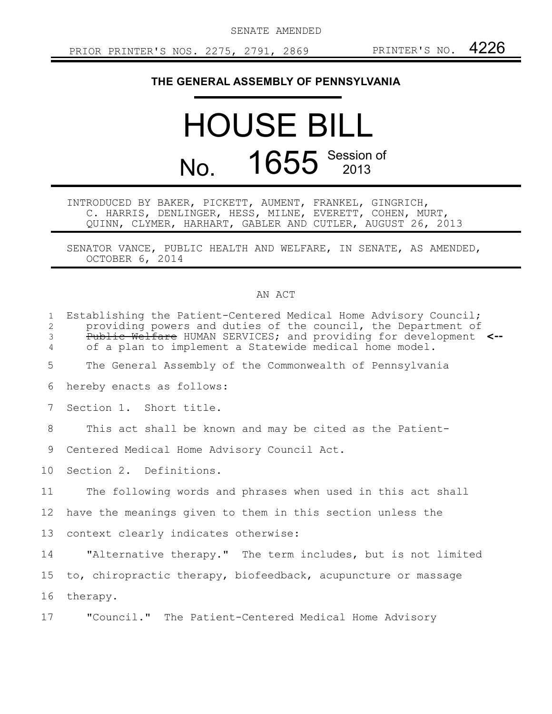SENATE AMENDED

## **THE GENERAL ASSEMBLY OF PENNSYLVANIA**

## HOUSE BILL No. 1655 Session of

INTRODUCED BY BAKER, PICKETT, AUMENT, FRANKEL, GINGRICH, C. HARRIS, DENLINGER, HESS, MILNE, EVERETT, COHEN, MURT, QUINN, CLYMER, HARHART, GABLER AND CUTLER, AUGUST 26, 2013

SENATOR VANCE, PUBLIC HEALTH AND WELFARE, IN SENATE, AS AMENDED, OCTOBER 6, 2014

## AN ACT

| $\mathbf{1}$<br>$\mathbf{2}$<br>3<br>4 | Establishing the Patient-Centered Medical Home Advisory Council;<br>providing powers and duties of the council, the Department of<br>Public Welfare HUMAN SERVICES; and providing for development <--<br>of a plan to implement a Statewide medical home model. |
|----------------------------------------|-----------------------------------------------------------------------------------------------------------------------------------------------------------------------------------------------------------------------------------------------------------------|
| 5                                      | The General Assembly of the Commonwealth of Pennsylvania                                                                                                                                                                                                        |
| 6                                      | hereby enacts as follows:                                                                                                                                                                                                                                       |
| $7\overline{ }$                        | Section 1. Short title.                                                                                                                                                                                                                                         |
| 8                                      | This act shall be known and may be cited as the Patient-                                                                                                                                                                                                        |
| 9                                      | Centered Medical Home Advisory Council Act.                                                                                                                                                                                                                     |
| 10                                     | Section 2. Definitions.                                                                                                                                                                                                                                         |
| 11                                     | The following words and phrases when used in this act shall                                                                                                                                                                                                     |
| 12                                     | have the meanings given to them in this section unless the                                                                                                                                                                                                      |
| 13                                     | context clearly indicates otherwise:                                                                                                                                                                                                                            |
| 14                                     | "Alternative therapy." The term includes, but is not limited                                                                                                                                                                                                    |
| 15 <sub>2</sub>                        | to, chiropractic therapy, biofeedback, acupuncture or massage                                                                                                                                                                                                   |
| 16                                     | therapy.                                                                                                                                                                                                                                                        |
| 17                                     | "Council." The Patient-Centered Medical Home Advisory                                                                                                                                                                                                           |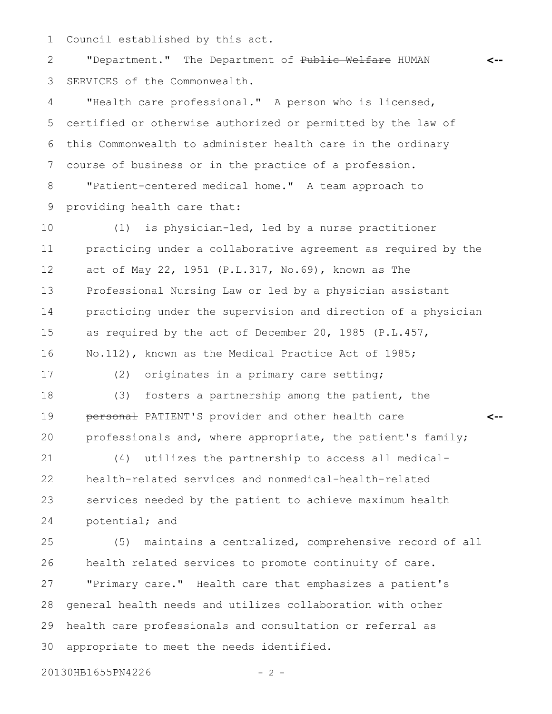Council established by this act. 1

"Department." The Department of Public Welfare HUMAN SERVICES of the Commonwealth. 2 3

"Health care professional." A person who is licensed, certified or otherwise authorized or permitted by the law of this Commonwealth to administer health care in the ordinary course of business or in the practice of a profession. 4 5 6 7

"Patient-centered medical home." A team approach to providing health care that: 8 9

(1) is physician-led, led by a nurse practitioner practicing under a collaborative agreement as required by the act of May 22, 1951 (P.L.317, No.69), known as The Professional Nursing Law or led by a physician assistant practicing under the supervision and direction of a physician as required by the act of December 20, 1985 (P.L.457, No.112), known as the Medical Practice Act of 1985; 10 11 12 13 14 15 16

17

(2) originates in a primary care setting;

(3) fosters a partnership among the patient, the personal PATIENT'S provider and other health care professionals and, where appropriate, the patient's family; 18 19 20

**<--**

**<--**

(4) utilizes the partnership to access all medicalhealth-related services and nonmedical-health-related services needed by the patient to achieve maximum health potential; and 21 22 23 24

(5) maintains a centralized, comprehensive record of all health related services to promote continuity of care. "Primary care." Health care that emphasizes a patient's general health needs and utilizes collaboration with other health care professionals and consultation or referral as appropriate to meet the needs identified. 25 26 27 28 29 30

20130HB1655PN4226 - 2 -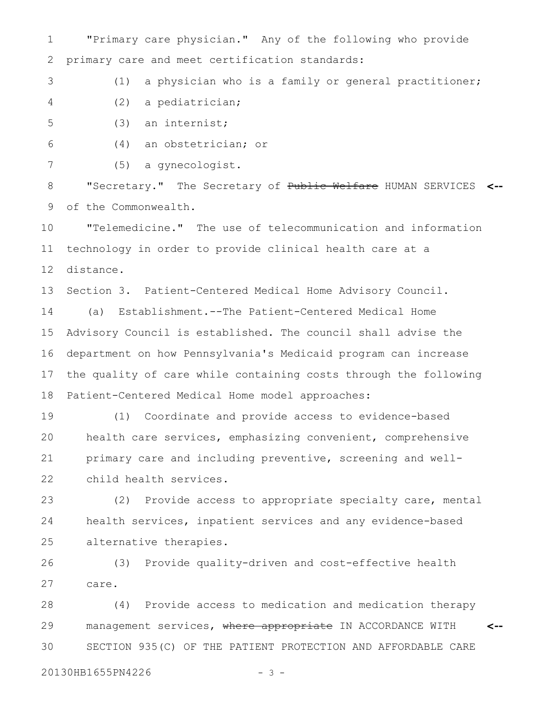"Primary care physician." Any of the following who provide primary care and meet certification standards: 1 2

(1) a physician who is a family or general practitioner; 3

(2) a pediatrician; 4

(3) an internist; 5

(4) an obstetrician; or 6

(5) a gynecologist. 7

"Secretary." The Secretary of Public Welfare HUMAN SERVICES **<-** of the Commonwealth. 8 9

"Telemedicine." The use of telecommunication and information technology in order to provide clinical health care at a distance. 10 11 12

Section 3. Patient-Centered Medical Home Advisory Council. 13

(a) Establishment.--The Patient-Centered Medical Home Advisory Council is established. The council shall advise the department on how Pennsylvania's Medicaid program can increase the quality of care while containing costs through the following Patient-Centered Medical Home model approaches: 14 15 16 17 18

(1) Coordinate and provide access to evidence-based health care services, emphasizing convenient, comprehensive primary care and including preventive, screening and wellchild health services. 19 20 21 22

(2) Provide access to appropriate specialty care, mental health services, inpatient services and any evidence-based alternative therapies. 23 24 25

(3) Provide quality-driven and cost-effective health care. 26 27

(4) Provide access to medication and medication therapy management services, where appropriate IN ACCORDANCE WITH SECTION 935(C) OF THE PATIENT PROTECTION AND AFFORDABLE CARE **<--** 28 29 30

20130HB1655PN4226 - 3 -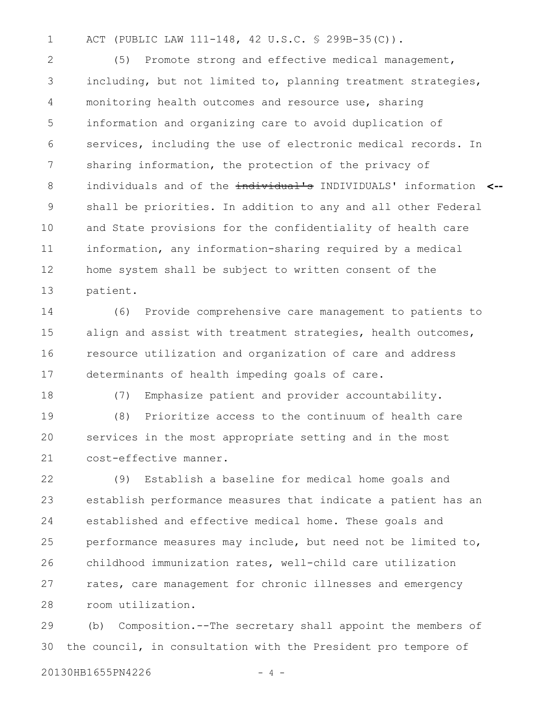ACT (PUBLIC LAW 111-148, 42 U.S.C. § 299B-35(C)). 1

(5) Promote strong and effective medical management, including, but not limited to, planning treatment strategies, monitoring health outcomes and resource use, sharing information and organizing care to avoid duplication of services, including the use of electronic medical records. In sharing information, the protection of the privacy of individuals and of the individual's INDIVIDUALS' information **<-** shall be priorities. In addition to any and all other Federal and State provisions for the confidentiality of health care information, any information-sharing required by a medical home system shall be subject to written consent of the patient. 2 3 4 5 6 7 8 9 10 11 12 13

(6) Provide comprehensive care management to patients to align and assist with treatment strategies, health outcomes, resource utilization and organization of care and address determinants of health impeding goals of care. 14 15 16 17

18

(7) Emphasize patient and provider accountability.

(8) Prioritize access to the continuum of health care services in the most appropriate setting and in the most cost-effective manner. 19 20 21

(9) Establish a baseline for medical home goals and establish performance measures that indicate a patient has an established and effective medical home. These goals and performance measures may include, but need not be limited to, childhood immunization rates, well-child care utilization rates, care management for chronic illnesses and emergency room utilization. 22 23 24 25 26 27 28

(b) Composition.--The secretary shall appoint the members of the council, in consultation with the President pro tempore of 29 30

20130HB1655PN4226 - 4 -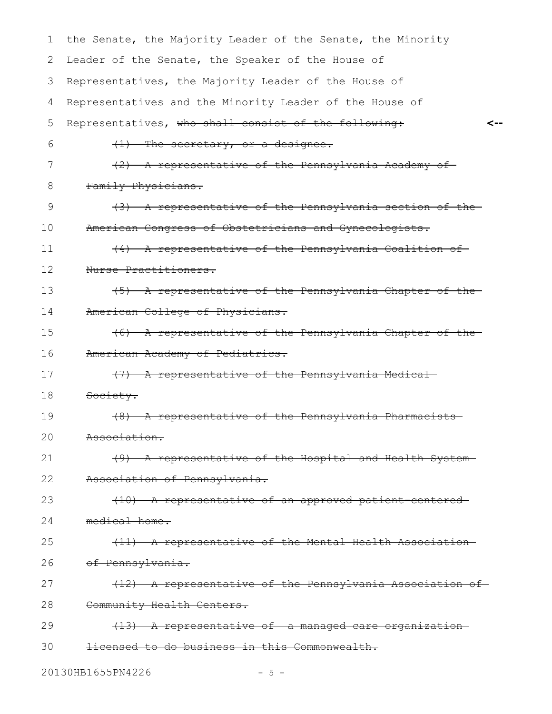| 1  | the Senate, the Majority Leader of the Senate, the Minority |
|----|-------------------------------------------------------------|
| 2  | Leader of the Senate, the Speaker of the House of           |
| 3  | Representatives, the Majority Leader of the House of        |
| 4  | Representatives and the Minority Leader of the House of     |
| 5  | Representatives, who shall consist of the following:        |
| 6  | $(1)$ The secretary, or a designee.                         |
| 7  | (2) A representative of the Pennsylvania Academy of         |
| 8  | Family Physicians.                                          |
| 9  | (3) A representative of the Pennsylvania section of the     |
| 10 | American Congress of Obstetricians and Gynecologists.       |
| 11 | (4) A representative of the Pennsylvania Coalition of       |
| 12 | Nurse Practitioners.                                        |
| 13 | (5) A representative of the Pennsylvania Chapter of the     |
| 14 | American College of Physicians.                             |
| 15 | (6) A representative of the Pennsylvania Chapter of the     |
| 16 | American Academy of Pediatrics.                             |
| 17 | (7) A representative of the Pennsylvania Medical            |
| 18 | Society.                                                    |
| 19 | (8) A representative of the Pennsylvania Pharmacists        |
| 20 | Association.                                                |
| 21 | (9) A representative of the Hospital and Health System-     |
| 22 | Association of Pennsylvania.                                |
| 23 | (10) A representative of an approved patient-centered-      |
| 24 | medical home.                                               |
| 25 | (11) A representative of the Mental Health Association-     |
| 26 | of Pennsylvania.                                            |
| 27 | (12) A representative of the Pennsylvania Association of    |
| 28 | Community Health Centers.                                   |
| 29 | (13) A representative of a managed care organization        |
| 30 | licensed to do business in this Commonwealth.               |
|    |                                                             |

20130HB1655PN4226 - 5 -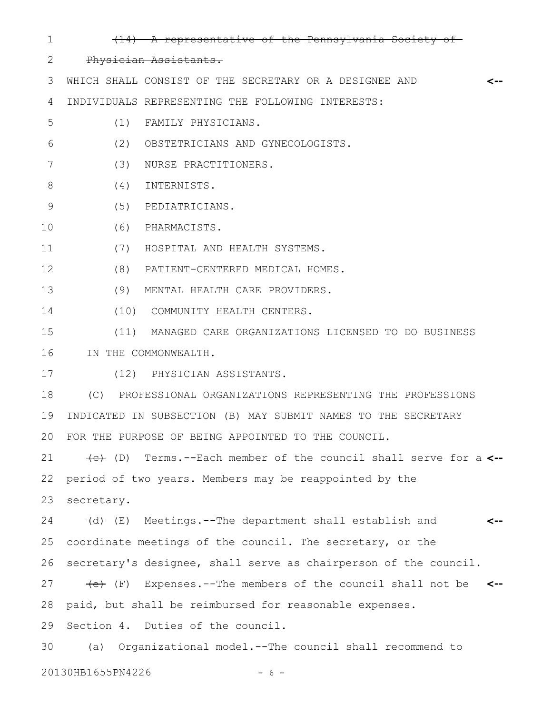(14) A representative of the Pennsylvania Society of Physician Assistants. WHICH SHALL CONSIST OF THE SECRETARY OR A DESIGNEE AND INDIVIDUALS REPRESENTING THE FOLLOWING INTERESTS: (1) FAMILY PHYSICIANS. (2) OBSTETRICIANS AND GYNECOLOGISTS. (3) NURSE PRACTITIONERS. (4) INTERNISTS. (5) PEDIATRICIANS. (6) PHARMACISTS. (7) HOSPITAL AND HEALTH SYSTEMS. (8) PATIENT-CENTERED MEDICAL HOMES. (9) MENTAL HEALTH CARE PROVIDERS. (10) COMMUNITY HEALTH CENTERS. (11) MANAGED CARE ORGANIZATIONS LICENSED TO DO BUSINESS IN THE COMMONWEALTH. (12) PHYSICIAN ASSISTANTS. (C) PROFESSIONAL ORGANIZATIONS REPRESENTING THE PROFESSIONS INDICATED IN SUBSECTION (B) MAY SUBMIT NAMES TO THE SECRETARY FOR THE PURPOSE OF BEING APPOINTED TO THE COUNCIL. (c) (D) Terms.--Each member of the council shall serve for a **<-** period of two years. Members may be reappointed by the secretary. **<--** 1 2 3 4 5 6 7 8 9 10 11 12 13 14 15 16 17 18 19 20 21 22 23

(d) (E) Meetings.--The department shall establish and coordinate meetings of the council. The secretary, or the secretary's designee, shall serve as chairperson of the council. (e) (F) Expenses.--The members of the council shall not be **<-** paid, but shall be reimbursed for reasonable expenses. Section 4. Duties of the council. (a) Organizational model.--The council shall recommend to **<--** 24 25 26 27 28 29 30

20130HB1655PN4226 - 6 -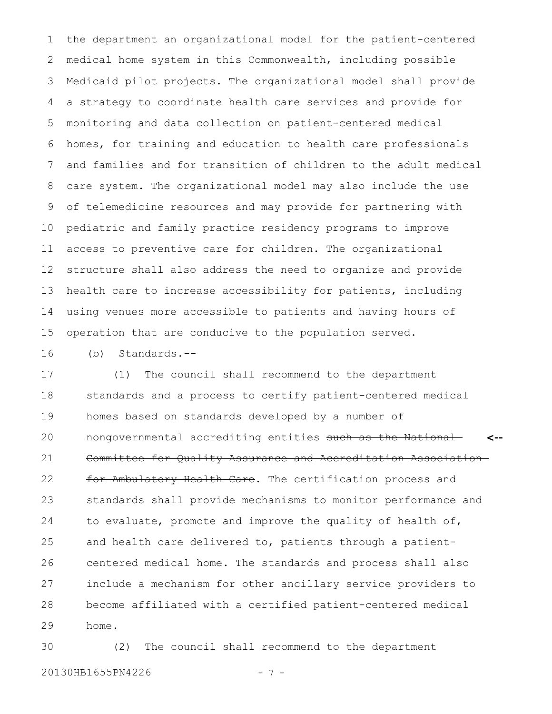the department an organizational model for the patient-centered medical home system in this Commonwealth, including possible Medicaid pilot projects. The organizational model shall provide a strategy to coordinate health care services and provide for monitoring and data collection on patient-centered medical homes, for training and education to health care professionals and families and for transition of children to the adult medical care system. The organizational model may also include the use of telemedicine resources and may provide for partnering with pediatric and family practice residency programs to improve access to preventive care for children. The organizational structure shall also address the need to organize and provide health care to increase accessibility for patients, including using venues more accessible to patients and having hours of operation that are conducive to the population served. 1 2 3 4 5 6 7 8 9 10 11 12 13 14 15

(b) Standards.-- 16

(1) The council shall recommend to the department standards and a process to certify patient-centered medical homes based on standards developed by a number of nongovernmental accrediting entities such as the National Committee for Quality Assurance and Accreditation Association for Ambulatory Health Care. The certification process and standards shall provide mechanisms to monitor performance and to evaluate, promote and improve the quality of health of, and health care delivered to, patients through a patientcentered medical home. The standards and process shall also include a mechanism for other ancillary service providers to become affiliated with a certified patient-centered medical home. **<--** 17 18 19 20 21 22 23 24 25 26 27 28 29

(2) The council shall recommend to the department 20130HB1655PN4226 - 7 -30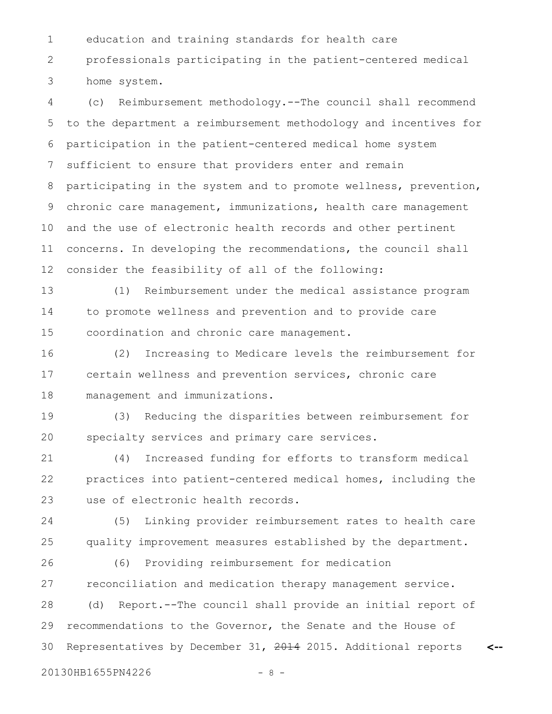education and training standards for health care 1

professionals participating in the patient-centered medical home system. 2 3

(c) Reimbursement methodology.--The council shall recommend to the department a reimbursement methodology and incentives for participation in the patient-centered medical home system sufficient to ensure that providers enter and remain participating in the system and to promote wellness, prevention, chronic care management, immunizations, health care management and the use of electronic health records and other pertinent concerns. In developing the recommendations, the council shall consider the feasibility of all of the following: 4 5 6 7 8 9 10 11 12

(1) Reimbursement under the medical assistance program to promote wellness and prevention and to provide care coordination and chronic care management. 13 14 15

(2) Increasing to Medicare levels the reimbursement for certain wellness and prevention services, chronic care management and immunizations. 16 17 18

(3) Reducing the disparities between reimbursement for specialty services and primary care services. 19 20

(4) Increased funding for efforts to transform medical practices into patient-centered medical homes, including the use of electronic health records. 21 22 23

(5) Linking provider reimbursement rates to health care quality improvement measures established by the department. 24 25

(6) Providing reimbursement for medication reconciliation and medication therapy management service. (d) Report.--The council shall provide an initial report of recommendations to the Governor, the Senate and the House of Representatives by December 31, 2014 2015. Additional reports 26 27 28 29 30

20130HB1655PN4226 - 8 -

**<--**